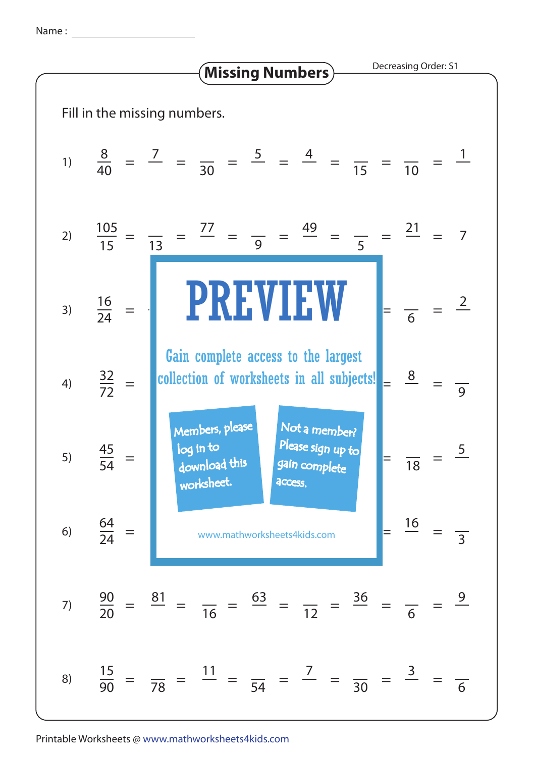Name :